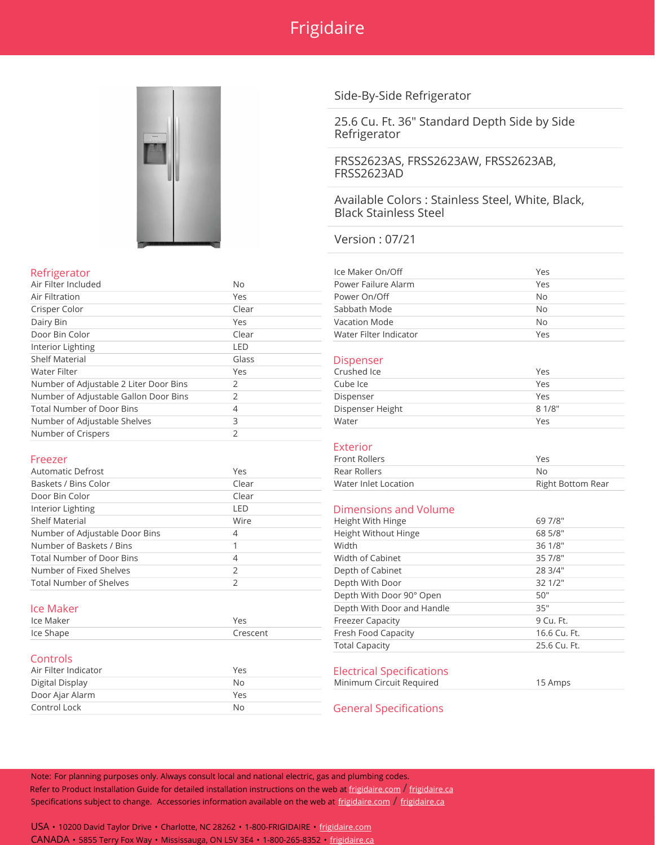



## Side-By-Side Refrigerator

25.6 Cu. Ft. 36" Standard Depth Side by Side Refrigerator

FRSS2623AS, FRSS2623AW, FRSS2623AB, FRSS2623AD

Available Colors : Stainless Steel, White, Black, Black Stainless Steel

Version : 07/21

| Refrigerator        |       | Ice Maker On/Off       | Yes |
|---------------------|-------|------------------------|-----|
| Air Filter Included | No    | Power Failure Alarm    | Yes |
| Air Filtration      | Yes   | Power On/Off           | No  |
| Crisper Color       | Clear | Sabbath Mode           | No  |
| Dairy Bin           | Yes   | Vacation Mode          | No  |
| Door Bin Color      | Clear | Water Filter Indicator | Yes |
|                     |       |                        |     |

## Dispenser

| Crushed Ice      | Yes    |
|------------------|--------|
| Cube Ice         | Yes    |
| Dispenser        | Yes    |
| Dispenser Height | 8 1/8" |
| Water            | Yes    |

### Exterior

| Front Rollers        | Yes               |
|----------------------|-------------------|
| Rear Rollers         | Νc                |
| Water Inlet Location | Right Bottom Rear |
| :lear                |                   |

## Dimensions and Volume

| Shelf Material                   | Wire      | Height With Hinge          | 69 7/8"      |
|----------------------------------|-----------|----------------------------|--------------|
| Number of Adjustable Door Bins   | 4         | Height Without Hinge       | 68 5/8"      |
| Number of Baskets / Bins         |           | Width                      | 36 1/8"      |
| <b>Total Number of Door Bins</b> | 4         | Width of Cabinet           | 35 7/8"      |
| Number of Fixed Shelves          |           | Depth of Cabinet           | 28 3/4"      |
| <b>Total Number of Shelves</b>   |           | Depth With Door            | 32 1/2"      |
|                                  |           | Depth With Door 90° Open   | 50"          |
| lce Maker                        |           | Depth With Door and Handle | 35"          |
| Ice Maker                        | Yes       | <b>Freezer Capacity</b>    | 9 Cu. Ft.    |
| Ice Shape                        | Crescent  | Fresh Food Capacity        | 16.6 Cu. Ft. |
|                                  |           | <b>Total Capacity</b>      | 25.6 Cu. Ft. |
| <b>Controls</b>                  |           |                            |              |
|                                  | $\lambda$ |                            |              |

Electrical Specifications Minimum Circuit Required 15 Amps

**General Specifications** 

Note: For planning purposes only. Always consult local and national electric, gas and plumbing codes. Refer to Product Installation Guide for detailed installation instructions on the web at [frigidaire.com](http://frigidaire.com/) / [frigidaire.ca](http://frigidaire.ca/) Specifications subject to change. Accessories information available on the web at [frigidaire.com](http://frigidaire.com/) / [frigidaire.ca](http://frigidaire.ca/)

USA • 10200 David Taylor Drive • Charlotte, NC 28262 • 1-800-FRIGIDAIRE • [frigidaire.com](http://frigidaire.com/) CANADA • 5855 Terry Fox Way • Mississauga, ON L5V 3E4 • 1-800-265-8352 • [frigidaire.ca](http://frigidaire.ca/)

| Air Filter Included                    | No.   | Power Failure Alarm    | Yes        |
|----------------------------------------|-------|------------------------|------------|
| Air Filtration                         | Yes   | Power On/Off           | No         |
| Crisper Color                          | Clear | Sabbath Mode           | No         |
| Dairy Bin                              | Yes   | <b>Vacation Mode</b>   | No         |
| Door Bin Color                         | Clear | Water Filter Indicator | Yes        |
| Interior Lighting                      | LED   |                        |            |
| <b>Shelf Material</b>                  | Glass | <b>Dispenser</b>       |            |
| Water Filter                           | Yes   | Crushed Ice            | <b>Yes</b> |
| Number of Adjustable 2 Liter Door Bins |       | Cube Ice               | Yes        |
| Number of Adjustable Gallon Door Bins  |       | Dispenser              | Yes        |
| <b>Total Number of Door Bins</b>       | 4     | Dispenser Height       | 8 1/8'     |
| Number of Adjustable Shelves           | 3     | Water                  | Yes        |
| Number of Crispers                     | っ     |                        |            |

| <b>Automatic Defrost</b>         | Yes   | Rear Rollers          | No                       |
|----------------------------------|-------|-----------------------|--------------------------|
| Baskets / Bins Color             | Clear | Water Inlet Location  | <b>Right Bottom Rear</b> |
| Door Bin Color                   | Clear |                       |                          |
| Interior Lighting                | LED   | Dimensions and Volume |                          |
| Shelf Material                   | Wire  | Height With Hinge     | 69 7/8"                  |
| Number of Adjustable Door Bins   | 4     | Height Without Hinge  | 68 5/8"                  |
| Number of Baskets / Bins         |       | Width                 | 36 1/8"                  |
| <b>Total Number of Door Bins</b> | 4     | Width of Cabinet      | 35 7/8"                  |
| Number of Fixed Shelves          |       | Depth of Cabinet      | 28 3/4"                  |
| <b>Total Number of Shelves</b>   |       | Depth With Door       | 321/2"                   |

| Ice Maker | Yes<br>$ -$ | apacity             |  |  |
|-----------|-------------|---------------------|--|--|
| Ice Shape |             | Fresh Food Capacity |  |  |

### **Controls**

| Air Filter Indicator | Yes |
|----------------------|-----|
| Digital Display      | No  |
| Door Ajar Alarm      | Yes |
| Control Lock         | No  |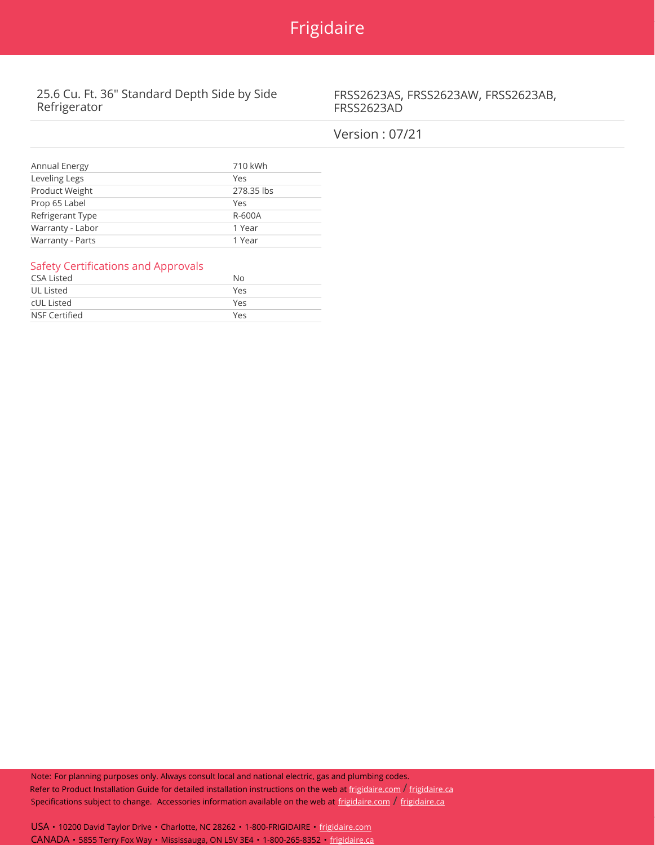

# 25.6 Cu. Ft. 36" Standard Depth Side by Side Refrigerator

FRSS2623AS, FRSS2623AW, FRSS2623AB, FRSS2623AD

# Version : 07/21

| Annual Energy    | 710 kWh    |
|------------------|------------|
| Leveling Legs    | Yes        |
| Product Weight   | 278.35 lbs |
| Prop 65 Label    | Yes        |
| Refrigerant Type | R-600A     |
| Warranty - Labor | 1 Year     |
| Warranty - Parts | 1 Year     |

## Safety Certifications and Approvals

| CSA Listed    | No  |
|---------------|-----|
| UL Listed     | Yes |
| cUL Listed    | Yes |
| NSF Certified | Yes |

Note: For planning purposes only. Always consult local and national electric, gas and plumbing codes. Refer to Product Installation Guide for detailed installation instructions on the web at [frigidaire.com](http://frigidaire.com/)  $/$  [frigidaire.ca](http://frigidaire.ca/) Specifications subject to change. Accessories information available on the web at [frigidaire.com](http://frigidaire.com/) / [frigidaire.ca](http://frigidaire.ca/)